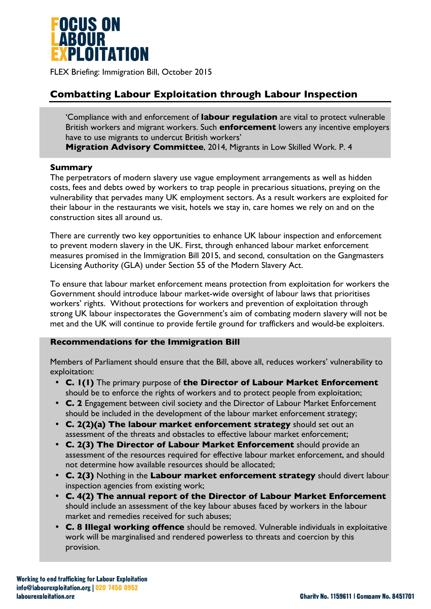

FLEX Briefing: Immigration Bill, October 2015

# **Combatting Labour Exploitation through Labour Inspection**

'Compliance with and enforcement of **labour regulation** are vital to protect vulnerable British workers and migrant workers. Such **enforcement** lowers any incentive employers have to use migrants to undercut British workers'

**Migration Advisory Committee**, 2014, Migrants in Low Skilled Work. P. 4

#### **Summary**

The perpetrators of modern slavery use vague employment arrangements as well as hidden costs, fees and debts owed by workers to trap people in precarious situations, preying on the vulnerability that pervades many UK employment sectors. As a result workers are exploited for their labour in the restaurants we visit, hotels we stay in, care homes we rely on and on the construction sites all around us.

There are currently two key opportunities to enhance UK labour inspection and enforcement to prevent modern slavery in the UK. First, through enhanced labour market enforcement measures promised in the Immigration Bill 2015, and second, consultation on the Gangmasters Licensing Authority (GLA) under Section 55 of the Modern Slavery Act.

To ensure that labour market enforcement means protection from exploitation for workers the Government should introduce labour market-wide oversight of labour laws that prioritises workers' rights. Without protections for workers and prevention of exploitation through strong UK labour inspectorates the Government's aim of combating modern slavery will not be met and the UK will continue to provide fertile ground for traffickers and would-be exploiters.

#### **Recommendations for the Immigration Bill**

Members of Parliament should ensure that the Bill, above all, reduces workers' vulnerability to exploitation:

- **C. 1(1)** The primary purpose of **the Director of Labour Market Enforcement**  should be to enforce the rights of workers and to protect people from exploitation;
- **C. 2** Engagement between civil society and the Director of Labour Market Enforcement should be included in the development of the labour market enforcement strategy;
- **C. 2(2)(a) The labour market enforcement strategy** should set out an assessment of the threats and obstacles to effective labour market enforcement;
- **C. 2(3) The Director of Labour Market Enforcement** should provide an assessment of the resources required for effective labour market enforcement, and should not determine how available resources should be allocated;
- **C. 2(3)** Nothing in the **Labour market enforcement strategy** should divert labour inspection agencies from existing work;
- **C. 4(2) The annual report of the Director of Labour Market Enforcement** should include an assessment of the key labour abuses faced by workers in the labour market and remedies received for such abuses;
- **C. 8 Illegal working offence** should be removed. Vulnerable individuals in exploitative work will be marginalised and rendered powerless to threats and coercion by this provision.